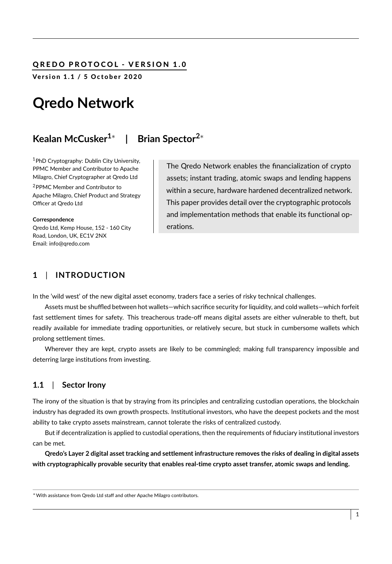## QREDO PROTOCOL - VERSION 1.0

Version 1.1 / 5 October 2020

# **Qredo Network**

#### **Kealan McCusker1**<sup>∗</sup> **| Brian Spector2**<sup>∗</sup>

<sup>1</sup>PhD Cryptography: Dublin City University, PPMC Member and Contributor to Apache Milagro, Chief Cryptographer at Qredo Ltd

<sup>2</sup>PPMC Member and Contributor to Apache Milagro, Chief Product and Strategy Officer at Qredo Ltd

**Correspondence** Qredo Ltd, Kemp House, 152 - 160 City Road, London, UK, EC1V 2NX Email: info@qredo.com

The Qredo Network enables the financialization of crypto assets; instant trading, atomic swaps and lending happens within a secure, hardware hardened decentralized network. This paper provides detail over the cryptographic protocols and implementation methods that enable its functional operations.

## **1** | **INTRODUCTION**

In the 'wild west' of the new digital asset economy, traders face a series of risky technical challenges.

Assets must be shuffled between hot wallets—which sacrifice security for liquidity, and cold wallets—which forfeit fast settlement times for safety. This treacherous trade-off means digital assets are either vulnerable to theft, but readily available for immediate trading opportunities, or relatively secure, but stuck in cumbersome wallets which prolong settlement times.

Wherever they are kept, crypto assets are likely to be commingled; making full transparency impossible and deterring large institutions from investing.

#### **1.1** | **Sector Irony**

The irony of the situation is that by straying from its principles and centralizing custodian operations, the blockchain industry has degraded its own growth prospects. Institutional investors, who have the deepest pockets and the most ability to take crypto assets mainstream, cannot tolerate the risks of centralized custody.

But if decentralization is applied to custodial operations, then the requirements of fiduciary institutional investors can be met.

**Qredo's Layer 2 digital asset tracking and settlement infrastructure removes the risks of dealing in digital assets with cryptographically provable security that enables real-time crypto asset transfer, atomic swaps and lending.**

<sup>∗</sup>With assistance from Qredo Ltd staff and other Apache Milagro contributors.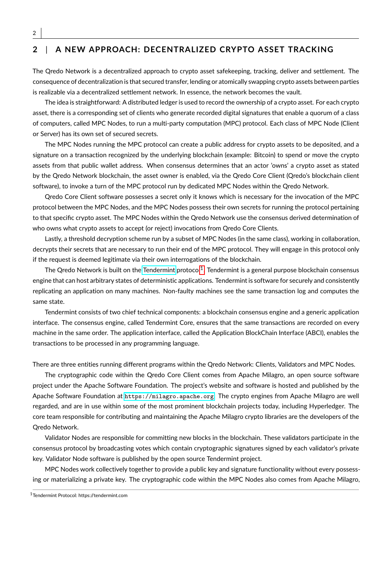## **2** | **A NEW APPROACH: DECENTRALIZED CRYPTO ASSET TRACKING**

The Qredo Network is a decentralized approach to crypto asset safekeeping, tracking, deliver and settlement. The consequence of decentralization is that secured transfer, lending or atomically swapping crypto assets between parties is realizable via a decentralized settlement network. In essence, the network becomes the vault.

The idea is straightforward: A distributed ledger is used to record the ownership of a crypto asset. For each crypto asset, there is a corresponding set of clients who generate recorded digital signatures that enable a quorum of a class of computers, called MPC Nodes, to run a multi-party computation (MPC) protocol. Each class of MPC Node (Client or Server) has its own set of secured secrets.

The MPC Nodes running the MPC protocol can create a public address for crypto assets to be deposited, and a signature on a transaction recognized by the underlying blockchain (example: Bitcoin) to spend or move the crypto assets from that public wallet address. When consensus determines that an actor 'owns' a crypto asset as stated by the Qredo Network blockchain, the asset owner is enabled, via the Qredo Core Client (Qredo's blockchain client software), to invoke a turn of the MPC protocol run by dedicated MPC Nodes within the Qredo Network.

Qredo Core Client software possesses a secret only it knows which is necessary for the invocation of the MPC protocol between the MPC Nodes, and the MPC Nodes possess their own secrets for running the protocol pertaining to that specific crypto asset. The MPC Nodes within the Qredo Network use the consensus derived determination of who owns what crypto assets to accept (or reject) invocations from Qredo Core Clients.

Lastly, a threshold decryption scheme run by a subset of MPC Nodes (in the same class), working in collaboration, decrypts their secrets that are necessary to run their end of the MPC protocol. They will engage in this protocol only if the request is deemed legitimate via their own interrogations of the blockchain.

The Qredo Network is built on the [Tendermint](https://tendermint.com/docs/introduction/what-is-tendermint.html#tendermint-vs-x) protocol $^1$  $^1$ . Tendermint is a general purpose blockchain consensus engine that can host arbitrary states of deterministic applications. Tendermint is software for securely and consistently replicating an application on many machines. Non-faulty machines see the same transaction log and computes the same state.

Tendermint consists of two chief technical components: a blockchain consensus engine and a generic application interface. The consensus engine, called Tendermint Core, ensures that the same transactions are recorded on every machine in the same order. The application interface, called the Application BlockChain Interface (ABCI), enables the transactions to be processed in any programming language.

There are three entities running different programs within the Qredo Network: Clients, Validators and MPC Nodes.

The cryptographic code within the Qredo Core Client comes from Apache Milagro, an open source software project under the Apache Software Foundation. The project's website and software is hosted and published by the Apache Software Foundation at <https://milagro.apache.org>. The crypto engines from Apache Milagro are well regarded, and are in use within some of the most prominent blockchain projects today, including Hyperledger. The core team responsible for contributing and maintaining the Apache Milagro crypto libraries are the developers of the Qredo Network.

Validator Nodes are responsible for committing new blocks in the blockchain. These validators participate in the consensus protocol by broadcasting votes which contain cryptographic signatures signed by each validator's private key. Validator Node software is published by the open source Tendermint project.

MPC Nodes work collectively together to provide a public key and signature functionality without every possessing or materializing a private key. The cryptographic code within the MPC Nodes also comes from Apache Milagro,

<span id="page-1-0"></span><sup>1</sup>Tendermint Protocol: https://tendermint.com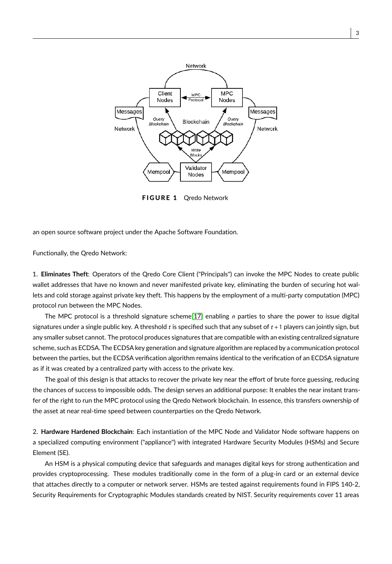

FIGURE 1 Qredo Network

an open source software project under the Apache Software Foundation.

Functionally, the Qredo Network:

1. **Eliminates Theft**: Operators of the Qredo Core Client ("Principals") can invoke the MPC Nodes to create public wallet addresses that have no known and never manifested private key, eliminating the burden of securing hot wallets and cold storage against private key theft. This happens by the employment of a multi-party computation (MPC) protocol run between the MPC Nodes.

The MPC protocol is a threshold signature scheme[\[17\]](#page-19-0) enabling  $n$  parties to share the power to issue digital signatures under a single public key. A threshold  $t$  is specified such that any subset of  $t + 1$  players can jointly sign, but any smaller subset cannot. The protocol produces signatures that are compatible with an existing centralized signature scheme, such as ECDSA. The ECDSA key generation and signature algorithm are replaced by a communication protocol between the parties, but the ECDSA verification algorithm remains identical to the verification of an ECDSA signature as if it was created by a centralized party with access to the private key.

The goal of this design is that attacks to recover the private key near the effort of brute force guessing, reducing the chances of success to impossible odds. The design serves an additional purpose: It enables the near instant transfer of the right to run the MPC protocol using the Qredo Network blockchain. In essence, this transfers ownership of the asset at near real-time speed between counterparties on the Qredo Network.

2. **Hardware Hardened Blockchain**: Each instantiation of the MPC Node and Validator Node software happens on a specialized computing environment ("appliance") with integrated Hardware Security Modules (HSMs) and Secure Element (SE).

An HSM is a physical computing device that safeguards and manages digital keys for strong authentication and provides cryptoprocessing. These modules traditionally come in the form of a plug-in card or an external device that attaches directly to a computer or network server. HSMs are tested against requirements found in FIPS 140-2, Security Requirements for Cryptographic Modules standards created by NIST. Security requirements cover 11 areas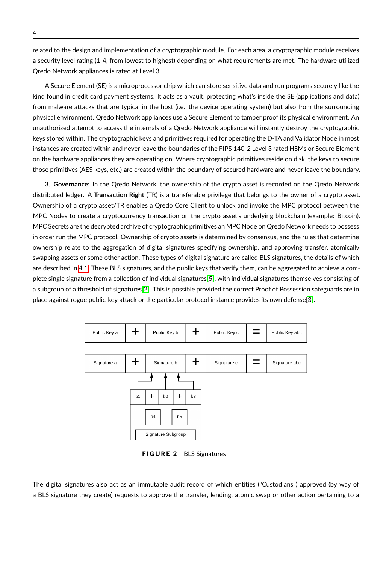related to the design and implementation of a cryptographic module. For each area, a cryptographic module receives a security level rating (1-4, from lowest to highest) depending on what requirements are met. The hardware utilized Qredo Network appliances is rated at Level 3.

A Secure Element (SE) is a microprocessor chip which can store sensitive data and run programs securely like the kind found in credit card payment systems. It acts as a vault, protecting what's inside the SE (applications and data) from malware attacks that are typical in the host (i.e. the device operating system) but also from the surrounding physical environment. Qredo Network appliances use a Secure Element to tamper proof its physical environment. An unauthorized attempt to access the internals of a Qredo Network appliance will instantly destroy the cryptographic keys stored within. The cryptographic keys and primitives required for operating the D-TA and Validator Node in most instances are created within and never leave the boundaries of the FIPS 140-2 Level 3 rated HSMs or Secure Element on the hardware appliances they are operating on. Where cryptographic primitives reside on disk, the keys to secure those primitives (AES keys, etc.) are created within the boundary of secured hardware and never leave the boundary.

3. **Governance**: In the Qredo Network, the ownership of the crypto asset is recorded on the Qredo Network distributed ledger. A **Transaction Right** (TR) is a transferable privilege that belongs to the owner of a crypto asset. Ownership of a crypto asset/TR enables a Qredo Core Client to unlock and invoke the MPC protocol between the MPC Nodes to create a cryptocurrency transaction on the crypto asset's underlying blockchain (example: Bitcoin). MPC Secrets are the decrypted archive of cryptographic primitives an MPC Node on Qredo Network needs to possess in order run the MPC protocol. Ownership of crypto assets is determined by consensus, and the rules that determine ownership relate to the aggregation of digital signatures specifying ownership, and approving transfer, atomically swapping assets or some other action. These types of digital signature are called BLS signatures, the details of which are described in [4.1.](#page-8-0) These BLS signatures, and the public keys that verify them, can be aggregated to achieve a complete single signature from a collection of individual signatures[\[5\]](#page-19-1), with individual signatures themselves consisting of a subgroup of a threshold of signatures[\[2\]](#page-19-2). This is possible provided the correct Proof of Possession safeguards are in place against rogue public-key attack or the particular protocol instance provides its own defense[\[3\]](#page-19-3).

<span id="page-3-0"></span>

FIGURE 2 BLS Signatures

The digital signatures also act as an immutable audit record of which entities ("Custodians") approved (by way of a BLS signature they create) requests to approve the transfer, lending, atomic swap or other action pertaining to a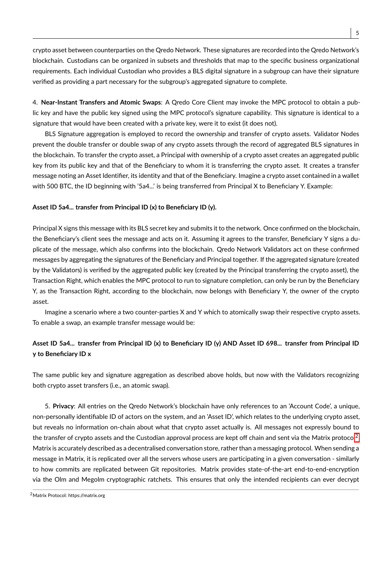crypto asset between counterparties on the Qredo Network. These signatures are recorded into the Qredo Network's blockchain. Custodians can be organized in subsets and thresholds that map to the specific business organizational requirements. Each individual Custodian who provides a BLS digital signature in a subgroup can have their signature verified as providing a part necessary for the subgroup's aggregated signature to complete.

4. **Near-Instant Transfers and Atomic Swaps**: A Qredo Core Client may invoke the MPC protocol to obtain a public key and have the public key signed using the MPC protocol's signature capability. This signature is identical to a signature that would have been created with a private key, were it to exist (it does not).

BLS Signature aggregation is employed to record the ownership and transfer of crypto assets. Validator Nodes prevent the double transfer or double swap of any crypto assets through the record of aggregated BLS signatures in the blockchain. To transfer the crypto asset, a Principal with ownership of a crypto asset creates an aggregated public key from its public key and that of the Beneficiary to whom it is transferring the crypto asset. It creates a transfer message noting an Asset Identifier, its identity and that of the Beneficiary. Imagine a crypto asset contained in a wallet with 500 BTC, the ID beginning with '5a4...' is being transferred from Principal X to Beneficiary Y. Example:

#### **Asset ID 5a4... transfer from Principal ID (x) to Beneficiary ID (y).**

Principal X signs this message with its BLS secret key and submits it to the network. Once confirmed on the blockchain, the Beneficiary's client sees the message and acts on it. Assuming it agrees to the transfer, Beneficiary Y signs a duplicate of the message, which also confirms into the blockchain. Qredo Network Validators act on these confirmed messages by aggregating the signatures of the Beneficiary and Principal together. If the aggregated signature (created by the Validators) is verified by the aggregated public key (created by the Principal transferring the crypto asset), the Transaction Right, which enables the MPC protocol to run to signature completion, can only be run by the Beneficiary Y, as the Transaction Right, according to the blockchain, now belongs with Beneficiary Y, the owner of the crypto asset.

Imagine a scenario where a two counter-parties X and Y which to atomically swap their respective crypto assets. To enable a swap, an example transfer message would be:

## **Asset ID 5a4... transfer from Principal ID (x) to Beneficiary ID (y) AND Asset ID 698... transfer from Principal ID y to Beneficiary ID x**

The same public key and signature aggregation as described above holds, but now with the Validators recognizing both crypto asset transfers (i.e., an atomic swap).

5. **Privacy**: All entries on the Qredo Network's blockchain have only references to an 'Account Code', a unique, non-personally identifiable ID of actors on the system, and an 'Asset ID', which relates to the underlying crypto asset, but reveals no information on-chain about what that crypto asset actually is. All messages not expressly bound to the transfer of crypto assets and the Custodian approval process are kept off chain and sent via the Matrix protocol<sup>[2](#page-4-0)</sup>. Matrix is accurately described as a decentralised conversation store, rather than a messaging protocol. When sending a message in Matrix, it is replicated over all the servers whose users are participating in a given conversation - similarly to how commits are replicated between Git repositories. Matrix provides state-of-the-art end-to-end-encryption via the Olm and Megolm cryptographic ratchets. This ensures that only the intended recipients can ever decrypt

<span id="page-4-0"></span><sup>2</sup>Matrix Protocol: https://matrix.org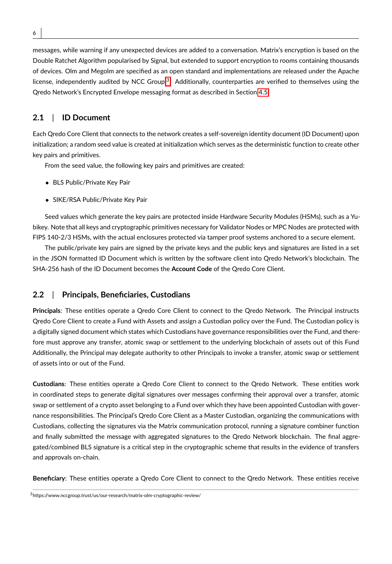messages, while warning if any unexpected devices are added to a conversation. Matrix's encryption is based on the Double Ratchet Algorithm popularised by Signal, but extended to support encryption to rooms containing thousands of devices. Olm and Megolm are specified as an open standard and implementations are released under the Apache license, independently audited by NCC Group.<sup>[3](#page-5-0)</sup>. Additionally, counterparties are verified to themselves using the Qredo Network's Encrypted Envelope messaging format as described in Section [4.5.](#page-14-0)

## <span id="page-5-1"></span>**2.1** | **ID Document**

Each Qredo Core Client that connects to the network creates a self-sovereign identity document (ID Document) upon initialization; a random seed value is created at initialization which serves as the deterministic function to create other key pairs and primitives.

From the seed value, the following key pairs and primitives are created:

- BLS Public/Private Key Pair
- SIKE/RSA Public/Private Key Pair

Seed values which generate the key pairs are protected inside Hardware Security Modules (HSMs), such as a Yubikey. Note that all keys and cryptographic primitives necessary for Validator Nodes or MPC Nodes are protected with FIPS 140-2/3 HSMs, with the actual enclosures protected via tamper proof systems anchored to a secure element.

The public/private key pairs are signed by the private keys and the public keys and signatures are listed in a set in the JSON formatted ID Document which is written by the software client into Qredo Network's blockchain. The SHA-256 hash of the ID Document becomes the **Account Code** of the Qredo Core Client.

### <span id="page-5-2"></span>**2.2** | **Principals, Beneficiaries, Custodians**

**Principals**: These entities operate a Qredo Core Client to connect to the Qredo Network. The Principal instructs Qredo Core Client to create a Fund with Assets and assign a Custodian policy over the Fund. The Custodian policy is a digitally signed document which states which Custodians have governance responsibilities over the Fund, and therefore must approve any transfer, atomic swap or settlement to the underlying blockchain of assets out of this Fund Additionally, the Principal may delegate authority to other Principals to invoke a transfer, atomic swap or settlement of assets into or out of the Fund.

**Custodians**: These entities operate a Qredo Core Client to connect to the Qredo Network. These entities work in coordinated steps to generate digital signatures over messages confirming their approval over a transfer, atomic swap or settlement of a crypto asset belonging to a Fund over which they have been appointed Custodian with governance responsibilities. The Principal's Qredo Core Client as a Master Custodian, organizing the communications with Custodians, collecting the signatures via the Matrix communication protocol, running a signature combiner function and finally submitted the message with aggregated signatures to the Qredo Network blockchain. The final aggregated/combined BLS signature is a critical step in the cryptographic scheme that results in the evidence of transfers and approvals on-chain.

**Beneficiary**: These entities operate a Qredo Core Client to connect to the Qredo Network. These entities receive

<span id="page-5-0"></span><sup>3</sup>https://www.nccgroup.trust/us/our-research/matrix-olm-cryptographic-review/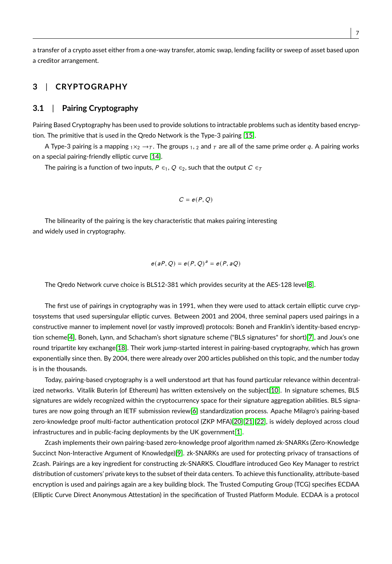a transfer of a crypto asset either from a one-way transfer, atomic swap, lending facility or sweep of asset based upon a creditor arrangement.

## **3** | **CRYPTOGRAPHY**

#### **3.1** | **Pairing Cryptography**

Pairing Based Cryptography has been used to provide solutions to intractable problems such as identity based encryption. The primitive that is used in the Qredo Network is the Type-3 pairing [\[15\]](#page-19-4).

A Type-3 pairing is a mapping  $_1\times_2\rightarrow_\mathcal{T}$ . The groups  $_1$ , 2 and  $_\mathcal{T}$  are all of the same prime order q. A pairing works on a special pairing-friendly elliptic curve [\[14\]](#page-19-5).

The pairing is a function of two inputs,  $P \in \{1, Q \in \mathbb{Z}\}$ , such that the output  $C \in \mathbb{Z}$ 

$$
C=e(P,Q)
$$

The bilinearity of the pairing is the key characteristic that makes pairing interesting and widely used in cryptography.

$$
e(aP,Q) = e(P,Q)^a = e(P,aQ)
$$

The Qredo Network curve choice is BLS12-381 which provides security at the AES-128 level[\[8\]](#page-19-6).

The first use of pairings in cryptography was in 1991, when they were used to attack certain elliptic curve cryptosystems that used supersingular elliptic curves. Between 2001 and 2004, three seminal papers used pairings in a constructive manner to implement novel (or vastly improved) protocols: Boneh and Franklin's identity-based encryption scheme[\[4\]](#page-19-7), Boneh, Lynn, and Schacham's short signature scheme ("BLS signatures" for short)[\[7\]](#page-19-8), and Joux's one round tripartite key exchange[\[18\]](#page-19-9). Their work jump-started interest in pairing-based cryptography, which has grown exponentially since then. By 2004, there were already over 200 articles published on this topic, and the number today is in the thousands.

Today, pairing-based cryptography is a well understood art that has found particular relevance within decentralized networks. Vitalik Buterin (of Ethereum) has written extensively on the subject[\[10\]](#page-19-10). In signature schemes, BLS signatures are widely recognized within the cryptocurrency space for their signature aggregation abilities. BLS signatures are now going through an IETF submission review[\[6\]](#page-19-11) standardization process. Apache Milagro's pairing-based zero-knowledge proof multi-factor authentication protocol (ZKP MFA)[\[20\]](#page-19-12)[\[21\]](#page-20-0)[\[22\]](#page-20-1), is widely deployed across cloud infrastructures and in public-facing deployments by the UK government[\[1\]](#page-19-13).

Zcash implements their own pairing-based zero-knowledge proof algorithm named zk-SNARKs (Zero-Knowledge Succinct Non-Interactive Argument of Knowledge)[\[9\]](#page-19-14). zk-SNARKs are used for protecting privacy of transactions of Zcash. Pairings are a key ingredient for constructing zk-SNARKS. Cloudflare introduced Geo Key Manager to restrict distribution of customers' private keys to the subset of their data centers. To achieve this functionality, attribute-based encryption is used and pairings again are a key building block. The Trusted Computing Group (TCG) specifies ECDAA (Elliptic Curve Direct Anonymous Attestation) in the specification of Trusted Platform Module. ECDAA is a protocol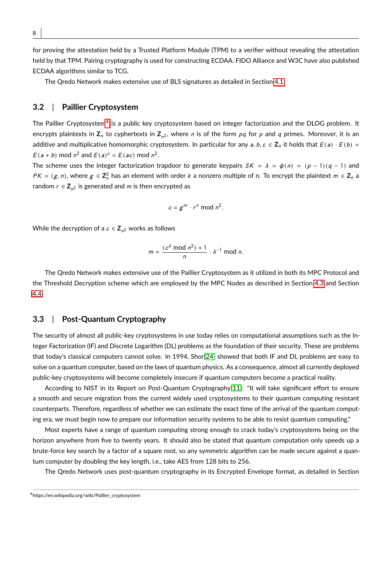for proving the attestation held by a Trusted Platform Module (TPM) to a verifier without revealing the attestation held by that TPM. Pairing cryptography is used for constructing ECDAA. FIDO Alliance and W3C have also published ECDAA algorithms similar to TCG.

The Qredo Network makes extensive use of BLS signatures as detailed in Section [4.1.](#page-8-0)

#### **3.2** | **Paillier Cryptosystem**

The Paillier Cryptosystem<sup>[4](#page-7-0)</sup> is a public key cryptosystem based on integer factorization and the DLOG problem. It encrypts plaintexts in **Z**<sub>n</sub> to cyphertexts in **Z**<sub>n</sub>2, where *n* is of the form *pq* for *p* and *q* primes. Moreover, it is an additive and multiplicative homomorphic cryptosystem. In particular for any  $a, b, c \in \mathbb{Z}_n$  it holds that  $E(a) \cdot E(b) =$  $E(a + b) \text{ mod } n^2$  and  $E(a)^c = E(ac) \text{ mod } n^2$ .

The scheme uses the integer factorization trapdoor to generate keypairs  $SK = \lambda = \phi(n) = (p - 1)(q - 1)$  and  $PK = (g, n)$ , where  $g \in \mathbb{Z}_n^2$  has an element with order k a nonzero multiple of n. To encrypt the plaintext  $m \in \mathbb{Z}_n$  a random  $r \in \mathsf{Z}_{n^2}$  is generated and  $m$  is then encrypted as

$$
c = g^m \cdot r^n \bmod n^2.
$$

While the decryption of a  $c \in \mathsf{Z}_{n^2}$  works as follows

$$
m = \frac{(c^{\lambda} \bmod n^2) + 1}{n} \cdot \lambda^{-1} \bmod n.
$$

The Qredo Network makes extensive use of the Paillier Cryptosystem as it utilized in both its MPC Protocol and the Threshold Decryption scheme which are employed by the MPC Nodes as described in Section [4.3](#page-10-0) and Section [4.4.](#page-12-0)

#### **3.3** | **Post-Quantum Cryptography**

The security of almost all public-key cryptosystems in use today relies on computational assumptions such as the Integer Factorization (IF) and Discrete Logarithm (DL) problems as the foundation of their security. These are problems that today's classical computers cannot solve. In 1994, Shor[\[24\]](#page-20-2) showed that both IF and DL problems are easy to solve on a quantum computer, based on the laws of quantum physics. As a consequence, almost all currently deployed public-key cryptosystems will become completely insecure if quantum computers become a practical reality.

According to NIST in its Report on Post-Quantum Cryptography[\[11\]](#page-19-15): "It will take significant effort to ensure a smooth and secure migration from the current widely used cryptosystems to their quantum computing resistant counterparts. Therefore, regardless of whether we can estimate the exact time of the arrival of the quantum computing era, we must begin now to prepare our information security systems to be able to resist quantum computing."

Most experts have a range of quantum computing strong enough to crack today's cryptosystems being on the horizon anywhere from five to twenty years. It should also be stated that quantum computation only speeds up a brute-force key search by a factor of a square root, so any symmetric algorithm can be made secure against a quantum computer by doubling the key length, i.e., take AES from 128 bits to 256.

The Qredo Network uses post-quantum cryptography in its Encrypted Envelope format, as detailed in Section

<span id="page-7-0"></span><sup>4</sup>https://en.wikipedia.org/wiki/Paillier\_cryptosystem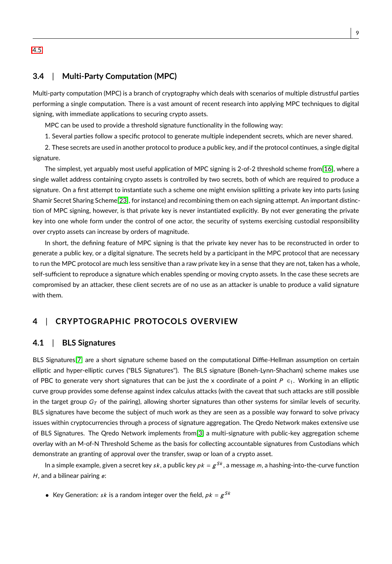[4.5.](#page-14-0)

## **3.4** | **Multi-Party Computation (MPC)**

Multi-party computation (MPC) is a branch of cryptography which deals with scenarios of multiple distrustful parties performing a single computation. There is a vast amount of recent research into applying MPC techniques to digital signing, with immediate applications to securing crypto assets.

MPC can be used to provide a threshold signature functionality in the following way:

1. Several parties follow a specific protocol to generate multiple independent secrets, which are never shared.

2. These secrets are used in another protocol to produce a public key, and if the protocol continues, a single digital signature.

The simplest, yet arguably most useful application of MPC signing is 2-of-2 threshold scheme from[\[16\]](#page-19-16), where a single wallet address containing crypto assets is controlled by two secrets, both of which are required to produce a signature. On a first attempt to instantiate such a scheme one might envision splitting a private key into parts (using Shamir Secret Sharing Scheme[\[23\]](#page-20-3), for instance) and recombining them on each signing attempt. An important distinction of MPC signing, however, is that private key is never instantiated explicitly. By not ever generating the private key into one whole form under the control of one actor, the security of systems exercising custodial responsibility over crypto assets can increase by orders of magnitude.

In short, the defining feature of MPC signing is that the private key never has to be reconstructed in order to generate a public key, or a digital signature. The secrets held by a participant in the MPC protocol that are necessary to run the MPC protocol are much less sensitive than a raw private key in a sense that they are not, taken has a whole, self-sufficient to reproduce a signature which enables spending or moving crypto assets. In the case these secrets are compromised by an attacker, these client secrets are of no use as an attacker is unable to produce a valid signature with them.

## **4** | **CRYPTOGRAPHIC PROTOCOLS OVERVIEW**

#### <span id="page-8-0"></span>**4.1** | **BLS Signatures**

BLS Signatures[\[7\]](#page-19-8) are a short signature scheme based on the computational Diffie-Hellman assumption on certain elliptic and hyper-elliptic curves ("BLS Signatures"). The BLS signature (Boneh-Lynn-Shacham) scheme makes use of PBC to generate very short signatures that can be just the x coordinate of a point P  $\epsilon_1$ . Working in an elliptic curve group provides some defense against index calculus attacks (with the caveat that such attacks are still possible in the target group  $G_T$  of the pairing), allowing shorter signatures than other systems for similar levels of security. BLS signatures have become the subject of much work as they are seen as a possible way forward to solve privacy issues within cryptocurrencies through a process of signature aggregation. The Qredo Network makes extensive use of BLS Signatures. The Qredo Network implements from[\[3\]](#page-19-3) a multi-signature with public-key aggregation scheme overlay with an M-of-N Threshold Scheme as the basis for collecting accountable signatures from Custodians which demonstrate an granting of approval over the transfer, swap or loan of a crypto asset.

In a simple example, given a secret key sk, a public key  $pk = g^{Sk}$ , a message m, a hashing-into-the-curve function  $H$ , and a bilinear pairing  $e$ :

• Key Generation: sk is a random integer over the field,  $pk = g^{Sk}$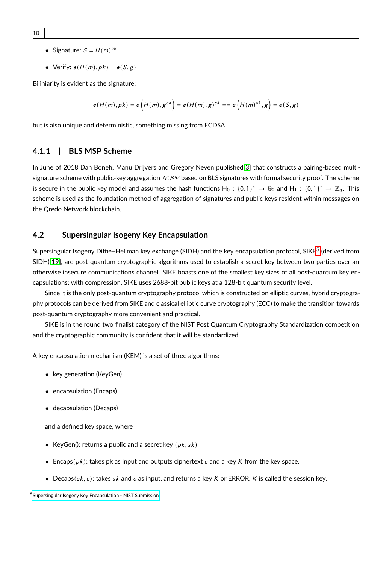- 10
- Signature:  $S = H(m)^{sk}$
- Verify:  $e(H(m), pk) = e(S, g)$

Biliniarity is evident as the signature:

$$
e(H(m),pk) = e\Big(H(m),g^{sk}\Big) = e(H(m),g)^{sk} == e\Big(H(m)^{sk},g\Big) = e(S,g)
$$

but is also unique and deterministic, something missing from ECDSA.

#### **4.1.1** | **BLS MSP Scheme**

In June of 2018 Dan Boneh, Manu Drijvers and Gregory Neven published[\[3\]](#page-19-3) that constructs a pairing-based multisignature scheme with public-key aggregation  $MSP$  based on BLS signatures with formal security proof. The scheme is secure in the public key model and assumes the hash functions  $H_0: \{0, 1\}^* \to \mathbb{G}_2$  and  $H_1: \{0, 1\}^* \to \mathbb{Z}_q$ . This scheme is used as the foundation method of aggregation of signatures and public keys resident within messages on the Qredo Network blockchain.

#### **4.2** | **Supersingular Isogeny Key Encapsulation**

Supersingular Isogeny Diffie–Hellman key exchange (SIDH) and the key encapsulation protocol, SIKE<sup>[5](#page-9-0)</sup> (derived from SIDH)[\[19\]](#page-19-17), are post-quantum cryptographic algorithms used to establish a secret key between two parties over an otherwise insecure communications channel. SIKE boasts one of the smallest key sizes of all post-quantum key encapsulations; with compression, SIKE uses 2688-bit public keys at a 128-bit quantum security level.

Since it is the only post-quantum cryptography protocol which is constructed on elliptic curves, hybrid cryptography protocols can be derived from SIKE and classical elliptic curve cryptography (ECC) to make the transition towards post-quantum cryptography more convenient and practical.

SIKE is in the round two finalist category of the NIST Post Quantum Cryptography Standardization competition and the cryptographic community is confident that it will be standardized.

A key encapsulation mechanism (KEM) is a set of three algorithms:

- key generation (KeyGen)
- encapsulation (Encaps)
- decapsulation (Decaps)

and a defined key space, where

- KeyGen(): returns a public and a secret key  $(pk, sk)$
- Encaps( $pk$ ): takes pk as input and outputs ciphertext c and a key K from the key space.
- Decaps( $sk, c$ ): takes  $sk$  and  $c$  as input, and returns a key K or ERROR. K is called the session key.

<span id="page-9-0"></span><sup>5</sup>[Supersingular Isogeny Key Encapsulation - NIST Submission](https://sike.org/)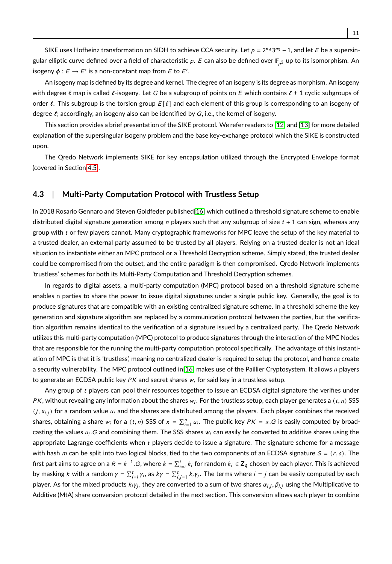SIKE uses Hofheinz transformation on SIDH to achieve CCA security. Let  $p = 2^{e} \cdot 3^{e_3} - 1$ , and let E be a supersingular elliptic curve defined over a field of characteristic  $\rho.$   $E$  can also be defined over  $\mathbb{F}_{\rho^2}$  up to its isomorphism. An isogeny  $\phi : E \to E'$  is a non-constant map from E to E'.

An isogeny map is defined by its degree and kernel. The degree of an isogeny is its degree as morphism. An isogeny with degree  $\ell$  map is called  $\ell$ -isogeny. Let G be a subgroup of points on E which contains  $\ell + 1$  cyclic subgroups of order  $\ell$ . This subgroup is the torsion group  $E[\ell]$  and each element of this group is corresponding to an isogeny of degree  $\ell$ ; accordingly, an isogeny also can be identified by  $G$ , i.e., the kernel of isogeny.

This section provides a brief presentation of the SIKE protocol. We refer readers to [\[12\]](#page-19-18) and [\[13\]](#page-19-19) for more detailed explanation of the supersingular isogeny problem and the base key-exchange protocol which the SIKE is constructed upon.

The Qredo Network implements SIKE for key encapsulation utilized through the Encrypted Envelope format (covered in Section [4.5\)](#page-14-0).

#### <span id="page-10-0"></span>**4.3** | **Multi-Party Computation Protocol with Trustless Setup**

In 2018 Rosario Gennaro and Steven Goldfeder published[\[16\]](#page-19-16) which outlined a threshold signature scheme to enable distributed digital signature generation among  $n$  players such that any subgroup of size  $t + 1$  can sign, whereas any group with  $t$  or few players cannot. Many cryptographic frameworks for MPC leave the setup of the key material to a trusted dealer, an external party assumed to be trusted by all players. Relying on a trusted dealer is not an ideal situation to instantiate either an MPC protocol or a Threshold Decryption scheme. Simply stated, the trusted dealer could be compromised from the outset, and the entire paradigm is then compromised. Qredo Network implements 'trustless' schemes for both its Multi-Party Computation and Threshold Decryption schemes.

In regards to digital assets, a multi-party computation (MPC) protocol based on a threshold signature scheme enables n parties to share the power to issue digital signatures under a single public key. Generally, the goal is to produce signatures that are compatible with an existing centralized signature scheme. In a threshold scheme the key generation and signature algorithm are replaced by a communication protocol between the parties, but the verification algorithm remains identical to the verification of a signature issued by a centralized party. The Qredo Network utilizes this multi-party computation (MPC) protocol to produce signatures through the interaction of the MPC Nodes that are responsible for the running the multi-party computation protocol specifically. The advantage of this instantiation of MPC is that it is 'trustless', meaning no centralized dealer is required to setup the protocol, and hence create a security vulnerability. The MPC protocol outlined in[\[16\]](#page-19-16) makes use of the Paillier Cryptosystem. It allows n players to generate an ECDSA public key  $PK$  and secret shares  $w_i$  for said key in a trustless setup.

Any group of t players can pool their resources together to issue an ECDSA digital signature the verifies under PK, without revealing any information about the shares  $w_i$ . For the trustless setup, each player generates a  $(t, n)$  SSS<br>  $(j, x_{i,j})$  for a random value  $u_i$  and the shares are distributed among the players. Each player combines the received shares, obtaining a share  $w_i$  for a  $(t, n)$  SSS of  $x = \sum_{i=1}^n u_i$ . The public key  $PK = x.G$  is easily computed by broadcasting the values  $u_i$ . G and combining them. The SSS shares  $w_i$  can easily be converted to additive shares using the appropriate Lagrange coefficients when  $t$  players decide to issue a signature. The signature scheme for a message with hash m can be split into two logical blocks, tied to the two components of an ECDSA signature  $S = (r, s)$ . The first part aims to agree on a  $R = k^{-1} \cdot G$ , where  $k = \sum_{i=1}^{t} k_i$  for random  $k_i \in \mathbb{Z}_q$  chosen by each player. This is achieved by masking k with a random  $\gamma = \sum_{i=1}^{t} \gamma_i$ , as  $k\gamma = \sum_{i,j=1}^{t} k_i \gamma_j$ . The terms where  $i = j$  can be easily computed by each player. As for the mixed products  $k_i \gamma_j$ , they are converted to a sum of two shares  $\alpha_{i,j}, \beta_{i,j}$  using the Multiplicative to  $\mathbf{r}_i$ Additive (MtA) share conversion protocol detailed in the next section. This conversion allows each player to combine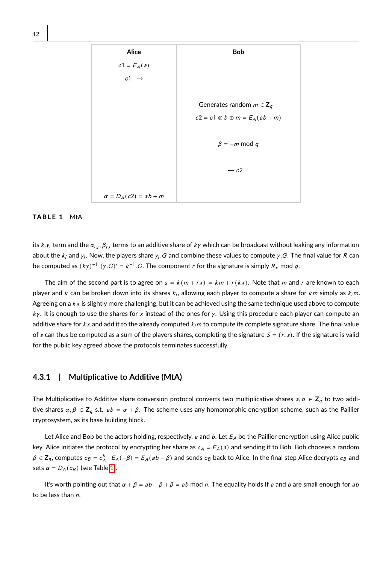<span id="page-11-0"></span>

#### TABLE 1 MtA

its  $k_i \gamma_i$  term and the  $\alpha_{i,j}, \beta_{j,i}$  terms to an additive share of  $k \gamma$  which can be broadcast without leaking any information about the  $k_i$  and  $\gamma_i$ . Now, the players share  $\gamma_i$  G and combine these values to compute γ.G. The final value for R can<br>. be computed as  $(k\gamma)^{-1}$ . $(\gamma. G)' = k^{-1}$ .G. The component r for the signature is simply  $R_x$  mod q.

The aim of the second part is to agree on  $s = k(m + rx) = km + r(kx)$ . Note that m and r are known to each player and  $k$  can be broken down into its shares  $k_i$ , allowing each player to compute a share for  $km$  simply as  $k_i m$ . Agreeing on a  $k \times$  is slightly more challenging, but it can be achieved using the same technique used above to compute  $ky$ . It is enough to use the shares for x instead of the ones for y. Using this procedure each player can compute an additive share for  $k \times$  and add it to the already computed  $k_i m$  to compute its complete signature share. The final value of s can thus be computed as a sum of the players shares, completing the signature  $S = (r, s)$ . If the signature is valid for the public key agreed above the protocols terminates successfully.

#### **4.3.1** | **Multiplicative to Additive (MtA)**

The Multiplicative to Additive share conversion protocol converts two multiplicative shares  $a, b \in \mathbb{Z}_q$  to two additive shares  $\alpha, \beta \in \mathbb{Z}_q$  s.t.  $ab = \alpha + \beta$ . The scheme uses any homomorphic encryption scheme, such as the Paillier cryptosystem, as its base building block.

Let Alice and Bob be the actors holding, respectively,  $a$  and  $b$ . Let  $E_A$  be the Paillier encryption using Alice public key. Alice initiates the protocol by encrypting her share as  $c_A = E_A(a)$  and sending it to Bob. Bob chooses a random  $\beta \in \mathsf{Z}_n$ , computes  $c_B = c_A^b \cdot E_A(-\beta) = E_A(a b - \beta)$  and sends  $c_B$  back to Alice. In the final step Alice decrypts  $c_B$  and sets  $\alpha = D_A(c_B)$  (see Table [1\)](#page-11-0).

It's worth pointing out that  $\alpha + \beta = ab - \beta + \beta = ab \mod n$ . The equality holds If a and b are small enough for ab to be less than n.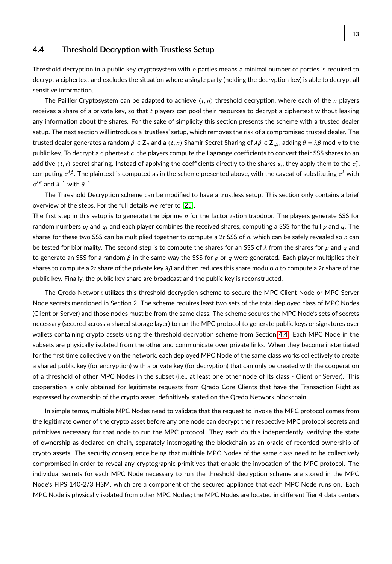#### <span id="page-12-0"></span>**4.4** | **Threshold Decryption with Trustless Setup**

Threshold decryption in a public key cryptosystem with  $n$  parties means a minimal number of parties is required to decrypt a ciphertext and excludes the situation where a single party (holding the decryption key) is able to decrypt all sensitive information.

The Paillier Cryptosystem can be adapted to achieve  $(t, n)$  threshold decryption, where each of the n players receives a share of a private key, so that  $t$  players can pool their resources to decrypt a ciphertext without leaking any information about the shares. For the sake of simplicity this section presents the scheme with a trusted dealer setup. The next section will introduce a 'trustless' setup, which removes the risk of a compromised trusted dealer. The trusted dealer generates a random  $\beta \in \mathbb{Z}_n$  and a  $(t, n)$  Shamir Secret Sharing of  $\lambda \beta \in \mathbb{Z}_{n^2}$ , adding  $\theta = \lambda \beta$  mod *n* to the public key. To decrypt a ciphertext  $c$ , the players compute the Lagrange coefficients to convert their SSS shares to an additive  $(t, t)$  secret sharing. Instead of applying the coefficients directly to the shares  $s_i$ , they apply them to the  $c_i^s$ , computing  $c^{\lambda\beta}.$  The plaintext is computed as in the scheme presented above, with the caveat of substituting  $c^\lambda$  with  $c^{\lambda\beta}$  and  $\lambda^{-1}$  with  $\theta^{-1}$ 

The Threshold Decryption scheme can be modified to have a trustless setup. This section only contains a brief overview of the steps. For the full details we refer to [\[25\]](#page-20-4).

The first step in this setup is to generate the biprime  $n$  for the factorization trapdoor. The players generate SSS for random numbers  $p_i$  and  $q_i$  and each player combines the received shares, computing a SSS for the full p and q. The shares for these two SSS can be multiplied together to compute a 2t SSS of n, which can be safely revealed so n can be tested for biprimality. The second step is to compute the shares for an SSS of  $\lambda$  from the shares for p and q and to generate an SSS for a random  $\beta$  in the same way the SSS for p or q were generated. Each player multiplies their shares to compute a 2t share of the private key  $\lambda\beta$  and then reduces this share modulo n to compute a 2t share of the public key. Finally, the public key share are broadcast and the public key is reconstructed.

The Qredo Network utilizes this threshold decryption scheme to secure the MPC Client Node or MPC Server Node secrets mentioned in Section 2. The scheme requires least two sets of the total deployed class of MPC Nodes (Client or Server) and those nodes must be from the same class. The scheme secures the MPC Node's sets of secrets necessary (secured across a shared storage layer) to run the MPC protocol to generate public keys or signatures over wallets containing crypto assets using the threshold decryption scheme from Section [4.4.](#page-12-0) Each MPC Node in the subsets are physically isolated from the other and communicate over private links. When they become instantiated for the first time collectively on the network, each deployed MPC Node of the same class works collectively to create a shared public key (for encryption) with a private key (for decryption) that can only be created with the cooperation of a threshold of other MPC Nodes in the subset (i.e., at least one other node of its class - Client or Server). This cooperation is only obtained for legitimate requests from Qredo Core Clients that have the Transaction Right as expressed by ownership of the crypto asset, definitively stated on the Qredo Network blockchain.

In simple terms, multiple MPC Nodes need to validate that the request to invoke the MPC protocol comes from the legitimate owner of the crypto asset before any one node can decrypt their respective MPC protocol secrets and primitives necessary for that node to run the MPC protocol. They each do this independently, verifying the state of ownership as declared on-chain, separately interrogating the blockchain as an oracle of recorded ownership of crypto assets. The security consequence being that multiple MPC Nodes of the same class need to be collectively compromised in order to reveal any cryptographic primitives that enable the invocation of the MPC protocol. The individual secrets for each MPC Node necessary to run the threshold decryption scheme are stored in the MPC Node's FIPS 140-2/3 HSM, which are a component of the secured appliance that each MPC Node runs on. Each MPC Node is physically isolated from other MPC Nodes; the MPC Nodes are located in different Tier 4 data centers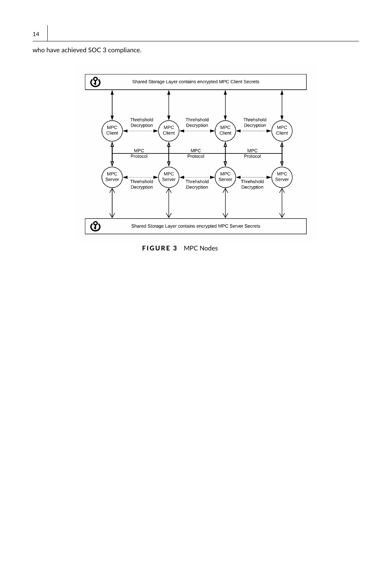who have achieved SOC 3 compliance.



FIGURE 3 MPC Nodes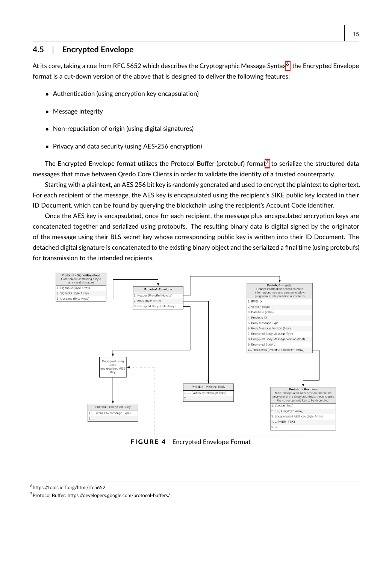## <span id="page-14-0"></span>**4.5** | **Encrypted Envelope**

At its core, taking a cue from RFC 5[6](#page-14-1)52 which describes the Cryptographic Message Syntax<sup>6</sup>, the Encrypted Envelope format is a cut-down version of the above that is designed to deliver the following features:

- Authentication (using encryption key encapsulation)
- Message integrity
- Non-repudiation of origin (using digital signatures)
- Privacy and data security (using AES-256 encryption)

The Encrypted Envelope format utilizes the Protocol Buffer (protobuf) format<sup>[7](#page-14-2)</sup> to serialize the structured data messages that move between Qredo Core Clients in order to validate the identity of a trusted counterparty.

Starting with a plaintext, an AES 256 bit key is randomly generated and used to encrypt the plaintext to ciphertext. For each recipient of the message, the AES key is encapsulated using the recipient's SIKE public key located in their ID Document, which can be found by querying the blockchain using the recipient's Account Code identifier.

Once the AES key is encapsulated, once for each recipient, the message plus encapsulated encryption keys are concatenated together and serialized using protobufs. The resulting binary data is digital signed by the originator of the message using their BLS secret key whose corresponding public key is written into their ID Document. The detached digital signature is concatenated to the existing binary object and the serialized a final time (using protobufs) for transmission to the intended recipients.



FIGURE 4 Encrypted Envelope Format

<span id="page-14-1"></span><sup>6</sup>https://tools.ietf.org/html/rfc5652

<span id="page-14-2"></span><sup>7</sup>Protocol Buffer: https://developers.google.com/protocol-buffers/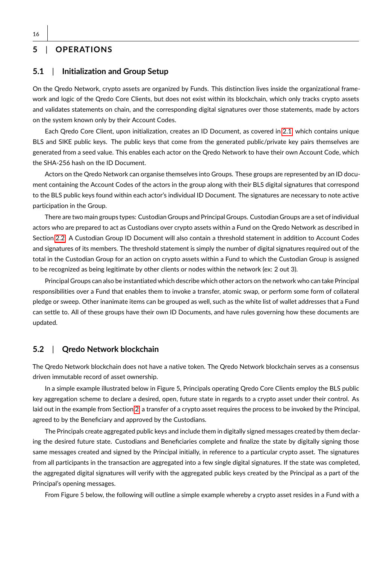## **5** | **OPERATIONS**

## **5.1** | **Initialization and Group Setup**

On the Qredo Network, crypto assets are organized by Funds. This distinction lives inside the organizational framework and logic of the Qredo Core Clients, but does not exist within its blockchain, which only tracks crypto assets and validates statements on chain, and the corresponding digital signatures over those statements, made by actors on the system known only by their Account Codes.

Each Qredo Core Client, upon initialization, creates an ID Document, as covered in [2.1,](#page-5-1) which contains unique BLS and SIKE public keys. The public keys that come from the generated public/private key pairs themselves are generated from a seed value. This enables each actor on the Qredo Network to have their own Account Code, which the SHA-256 hash on the ID Document.

Actors on the Qredo Network can organise themselves into Groups. These groups are represented by an ID document containing the Account Codes of the actors in the group along with their BLS digital signatures that correspond to the BLS public keys found within each actor's individual ID Document. The signatures are necessary to note active participation in the Group.

There are two main groups types: Custodian Groups and Principal Groups. Custodian Groups are a set of individual actors who are prepared to act as Custodians over crypto assets within a Fund on the Qredo Network as described in Section [2.2.](#page-5-2) A Custodian Group ID Document will also contain a threshold statement in addition to Account Codes and signatures of its members. The threshold statement is simply the number of digital signatures required out of the total in the Custodian Group for an action on crypto assets within a Fund to which the Custodian Group is assigned to be recognized as being legitimate by other clients or nodes within the network (ex: 2 out 3).

Principal Groups can also be instantiated which describe which other actors on the network who can take Principal responsibilities over a Fund that enables them to invoke a transfer, atomic swap, or perform some form of collateral pledge or sweep. Other inanimate items can be grouped as well, such as the white list of wallet addresses that a Fund can settle to. All of these groups have their own ID Documents, and have rules governing how these documents are updated.

#### **5.2** | **Qredo Network blockchain**

The Qredo Network blockchain does not have a native token. The Qredo Network blockchain serves as a consensus driven immutable record of asset ownership.

In a simple example illustrated below in Figure 5, Principals operating Qredo Core Clients employ the BLS public key aggregation scheme to declare a desired, open, future state in regards to a crypto asset under their control. As laid out in the example from Section [2,](#page-3-0) a transfer of a crypto asset requires the process to be invoked by the Principal, agreed to by the Beneficiary and approved by the Custodians.

The Principals create aggregated public keys and include them in digitally signed messages created by them declaring the desired future state. Custodians and Beneficiaries complete and finalize the state by digitally signing those same messages created and signed by the Principal initially, in reference to a particular crypto asset. The signatures from all participants in the transaction are aggregated into a few single digital signatures. If the state was completed, the aggregated digital signatures will verify with the aggregated public keys created by the Principal as a part of the Principal's opening messages.

From Figure 5 below, the following will outline a simple example whereby a crypto asset resides in a Fund with a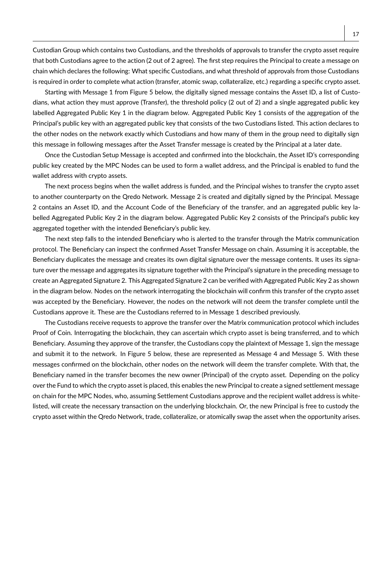Custodian Group which contains two Custodians, and the thresholds of approvals to transfer the crypto asset require that both Custodians agree to the action (2 out of 2 agree). The first step requires the Principal to create a message on chain which declares the following: What specific Custodians, and what threshold of approvals from those Custodians is required in order to complete what action (transfer, atomic swap, collateralize, etc.) regarding a specific crypto asset.

Starting with Message 1 from Figure 5 below, the digitally signed message contains the Asset ID, a list of Custodians, what action they must approve (Transfer), the threshold policy (2 out of 2) and a single aggregated public key labelled Aggregated Public Key 1 in the diagram below. Aggregated Public Key 1 consists of the aggregation of the Principal's public key with an aggregated public key that consists of the two Custodians listed. This action declares to the other nodes on the network exactly which Custodians and how many of them in the group need to digitally sign this message in following messages after the Asset Transfer message is created by the Principal at a later date.

Once the Custodian Setup Message is accepted and confirmed into the blockchain, the Asset ID's corresponding public key created by the MPC Nodes can be used to form a wallet address, and the Principal is enabled to fund the wallet address with crypto assets.

The next process begins when the wallet address is funded, and the Principal wishes to transfer the crypto asset to another counterparty on the Qredo Network. Message 2 is created and digitally signed by the Principal. Message 2 contains an Asset ID, and the Account Code of the Beneficiary of the transfer, and an aggregated public key labelled Aggregated Public Key 2 in the diagram below. Aggregated Public Key 2 consists of the Principal's public key aggregated together with the intended Beneficiary's public key.

The next step falls to the intended Beneficiary who is alerted to the transfer through the Matrix communication protocol. The Beneficiary can inspect the confirmed Asset Transfer Message on chain. Assuming it is acceptable, the Beneficiary duplicates the message and creates its own digital signature over the message contents. It uses its signature over the message and aggregates its signature together with the Principal's signature in the preceding message to create an Aggregated Signature 2. This Aggregated Signature 2 can be verified with Aggregated Public Key 2 as shown in the diagram below. Nodes on the network interrogating the blockchain will confirm this transfer of the crypto asset was accepted by the Beneficiary. However, the nodes on the network will not deem the transfer complete until the Custodians approve it. These are the Custodians referred to in Message 1 described previously.

The Custodians receive requests to approve the transfer over the Matrix communication protocol which includes Proof of Coin. Interrogating the blockchain, they can ascertain which crypto asset is being transferred, and to which Beneficiary. Assuming they approve of the transfer, the Custodians copy the plaintext of Message 1, sign the message and submit it to the network. In Figure 5 below, these are represented as Message 4 and Message 5. With these messages confirmed on the blockchain, other nodes on the network will deem the transfer complete. With that, the Beneficiary named in the transfer becomes the new owner (Principal) of the crypto asset. Depending on the policy over the Fund to which the crypto asset is placed, this enables the new Principal to create a signed settlement message on chain for the MPC Nodes, who, assuming Settlement Custodians approve and the recipient wallet address is whitelisted, will create the necessary transaction on the underlying blockchain. Or, the new Principal is free to custody the crypto asset within the Qredo Network, trade, collateralize, or atomically swap the asset when the opportunity arises.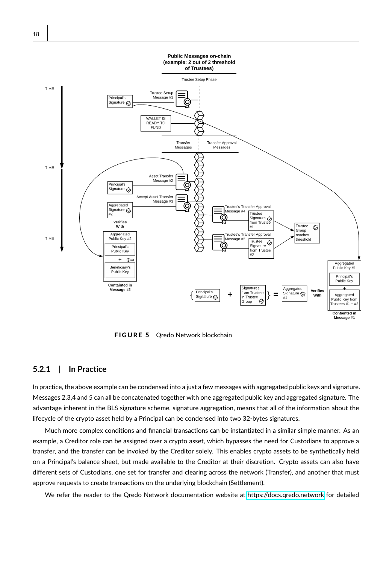

FIGURE 5 Qredo Network blockchain

### **5.2.1** | **In Practice**

In practice, the above example can be condensed into a just a few messages with aggregated public keys and signature. Messages 2,3,4 and 5 can all be concatenated together with one aggregated public key and aggregated signature. The advantage inherent in the BLS signature scheme, signature aggregation, means that all of the information about the lifecycle of the crypto asset held by a Principal can be condensed into two 32-bytes signatures.

Much more complex conditions and financial transactions can be instantiated in a similar simple manner. As an example, a Creditor role can be assigned over a crypto asset, which bypasses the need for Custodians to approve a transfer, and the transfer can be invoked by the Creditor solely. This enables crypto assets to be synthetically held on a Principal's balance sheet, but made available to the Creditor at their discretion. Crypto assets can also have different sets of Custodians, one set for transfer and clearing across the network (Transfer), and another that must approve requests to create transactions on the underlying blockchain (Settlement).

We refer the reader to the Qredo Network documentation website at<https://docs.qredo.network> for detailed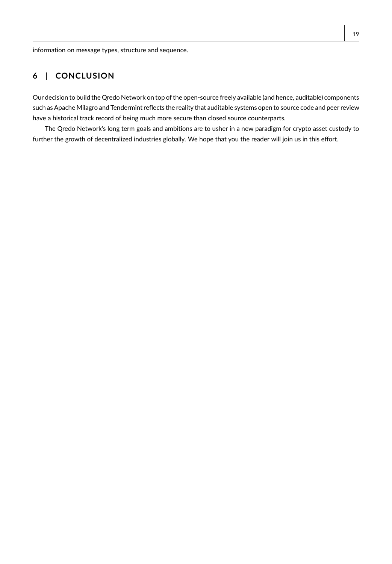information on message types, structure and sequence.

## **6** | **CONCLUSION**

Our decision to build the Qredo Network on top of the open-source freely available (and hence, auditable) components such as Apache Milagro and Tendermint reflects the reality that auditable systems open to source code and peer review have a historical track record of being much more secure than closed source counterparts.

The Qredo Network's long term goals and ambitions are to usher in a new paradigm for crypto asset custody to further the growth of decentralized industries globally. We hope that you the reader will join us in this effort.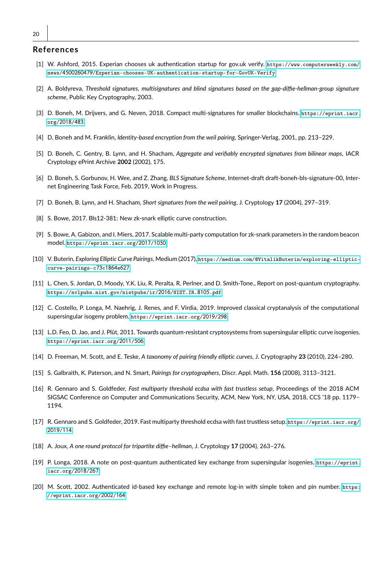#### **References**

- <span id="page-19-13"></span>[1] W. Ashford, 2015. Experian chooses uk authentication startup for gov.uk verify. [https://www.computerweekly.com/](https://www.computerweekly.com/news/4500260479/Experian-chooses-UK-authentication-startup-for-GovUK-Verify) news/4500260479[/Experian-chooses-UK-authentication-startup-for-GovUK-Verify](https://www.computerweekly.com/news/4500260479/Experian-chooses-UK-authentication-startup-for-GovUK-Verify).
- <span id="page-19-2"></span>[2] A. Boldyreva, *Threshold signatures, multisignatures and blind signatures based on the gap-diffie-hellman-group signature scheme*, Public Key Cryptography, 2003.
- <span id="page-19-3"></span>[3] D. Boneh, M. Drijvers, and G. Neven, 2018. Compact multi-signatures for smaller blockchains. [https://eprint.iacr.](https://eprint.iacr.org/2018/483) org/[2018](https://eprint.iacr.org/2018/483)/483.
- <span id="page-19-7"></span>[4] D. Boneh and M. Franklin, *Identity-based encryption from the weil pairing*, Springer-Verlag, 2001, pp. 213–229.
- <span id="page-19-1"></span>[5] D. Boneh, C. Gentry, B. Lynn, and H. Shacham, *Aggregate and verifiably encrypted signatures from bilinear maps*, IACR Cryptology ePrint Archive **2002** (2002), 175.
- <span id="page-19-11"></span>[6] D. Boneh, S. Gorbunov, H. Wee, and Z. Zhang, *BLS Signature Scheme*, Internet-draft draft-boneh-bls-signature-00, Internet Engineering Task Force, Feb. 2019, Work in Progress.
- <span id="page-19-8"></span>[7] D. Boneh, B. Lynn, and H. Shacham, *Short signatures from the weil pairing*, J. Cryptology **17** (2004), 297–319.
- <span id="page-19-6"></span>[8] S. Bowe, 2017. Bls12-381: New zk-snark elliptic curve construction.
- <span id="page-19-14"></span>[9] S. Bowe, A. Gabizon, and I. Miers, 2017. Scalable multi-party computation for zk-snark parameters in the random beacon model. [https://eprint.iacr.org/](https://eprint.iacr.org/2017/1050)2017/1050.
- <span id="page-19-10"></span>[10] V. Buterin, *Exploring Elliptic Curve Pairings*, Medium (2017), [https://medium.com/@VitalikButerin/exploring-elliptic](https://medium.com/@VitalikButerin/exploring-elliptic-curve-pairings-c73c1864e627)[curve-pairings-c](https://medium.com/@VitalikButerin/exploring-elliptic-curve-pairings-c73c1864e627)73c1864e627.
- <span id="page-19-15"></span>[11] L. Chen, S. Jordan, D. Moody, Y.K. Liu, R. Peralta, R. Perlner, and D. Smith-Tone., Report on post-quantum cryptography. [https://nvlpubs.nist.gov/nistpubs/ir/](https://nvlpubs.nist.gov/nistpubs/ir/2016/NIST.IR.8105.pdf)2016/NIST.IR.8105.pdf.
- <span id="page-19-18"></span>[12] C. Costello, P. Longa, M. Naehrig, J. Renes, and F. Virdia, 2019. Improved classical cryptanalysis of the computational supersingular isogeny problem. [https://eprint.iacr.org/](https://eprint.iacr.org/2019/298)2019/298.
- <span id="page-19-19"></span>[13] L.D. Feo, D. Jao, and J. Plût, 2011. Towards quantum-resistant cryptosystems from supersingular elliptic curve isogenies. [https://eprint.iacr.org/](https://eprint.iacr.org/2011/506)2011/506.
- <span id="page-19-5"></span>[14] D. Freeman, M. Scott, and E. Teske, *A taxonomy of pairing friendly elliptic curves*, J. Cryptography **23** (2010), 224–280.
- <span id="page-19-4"></span>[15] S. Galbraith, K. Paterson, and N. Smart, *Pairings for cryptographers*, Discr. Appl. Math. **156** (2008), 3113–3121.
- <span id="page-19-16"></span>[16] R. Gennaro and S. Goldfeder, *Fast multiparty threshold ecdsa with fast trustless setup*, Proceedings of the 2018 ACM SIGSAC Conference on Computer and Communications Security, ACM, New York, NY, USA, 2018, CCS '18 pp. 1179– 1194.
- <span id="page-19-0"></span>[17] R. Gennaro and S. Goldfeder, 2019. Fast multiparty threshold ecdsa with fast trustless setup. [https://eprint.iacr.org/](https://eprint.iacr.org/2019/114) [2019](https://eprint.iacr.org/2019/114)/114.
- <span id="page-19-9"></span>[18] A. Joux, *A one round protocol for tripartite diffie–hellman*, J. Cryptology **17** (2004), 263–276.
- <span id="page-19-17"></span>[19] P. Longa, 2018. A note on post-quantum authenticated key exchange from supersingular isogenies. [https://eprint.](https://eprint.iacr.org/2018/267) [iacr.org/](https://eprint.iacr.org/2018/267)2018/267.
- <span id="page-19-12"></span>[20] M. Scott, 2002. Authenticated id-based key exchange and remote log-in with simple token and pin number. [https:](https://eprint.iacr.org/2002/164) [//eprint.iacr.org/](https://eprint.iacr.org/2002/164)2002/164.